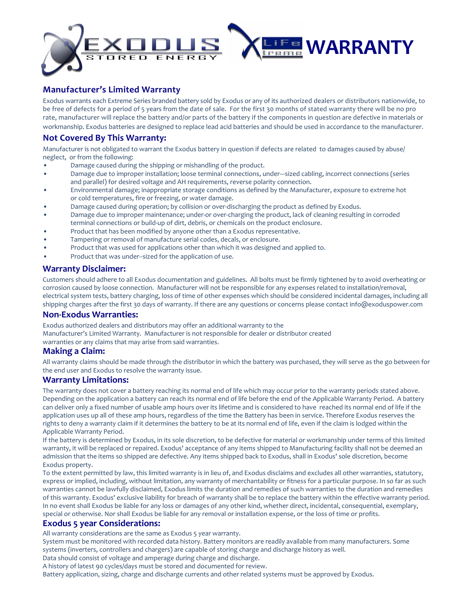

# **Manufacturer's Limited Warranty**

Exodus warrants each Extreme Series branded battery sold by Exodus or any of its authorized dealers or distributors nationwide, to be free of defects for a period of 5 years from the date of sale. For the first 30 months of stated warranty there will be no pro rate, manufacturer will replace the battery and/or parts of the battery if the components in question are defective in materials or workmanship. Exodus batteries are designed to replace lead acid batteries and should be used in accordance to the manufacturer.

# **Not Covered By This Warranty:**

Manufacturer is not obligated to warrant the Exodus battery in question if defects are related to damages caused by abuse/ neglect, or from the following:

- Damage caused during the shipping or mishandling of the product.
- Damage due to improper installation; loose terminal connections, under---sized cabling, incorrect connections (series and parallel) for desired voltage and AH requirements, reverse polarity connection.
- Environmental damage; inappropriate storage conditions as defined by the Manufacturer, exposure to extreme hot or cold temperatures, fire or freezing, or water damage.
- Damage caused during operation; by collision or over-discharging the product as defined by Exodus.
- Damage due to improper maintenance; under-or over-charging the product, lack of cleaning resulting in corroded terminal connections or build-up of dirt, debris, or chemicals on the product enclosure.
- Product that has been modified by anyone other than a Exodus representative.
- Tampering or removal of manufacture serial codes, decals, or enclosure.
- Product that was used for applications other than which it was designed and applied to.
- Product that was under--sized for the application of use.

### **Warranty Disclaimer:**

Customers should adhere to all Exodus documentation and guidelines. All bolts must be firmly tightened by to avoid overheating or corrosion caused by loose connection. Manufacturer will not be responsible for any expenses related to installation/removal, electrical system tests, battery charging, loss of time of other expenses which should be considered incidental damages, including all shipping charges after the first 30 days of warranty. If there are any questions or concerns please contact info@exoduspower.com

### **Non-Exodus Warranties:**

Exodus authorized dealers and distributors may offer an additional warranty to the Manufacturer's Limited Warranty. Manufacturer is not responsible for dealer or distributor created warranties or any claims that may arise from said warranties.

### **Making a Claim:**

All warranty claims should be made through the distributor in which the battery was purchased, they will serve as the go between for the end user and Exodus to resolve the warranty issue.

### **Warranty Limitations:**

The warranty does not cover a battery reaching its normal end of life which may occur prior to the warranty periods stated above. Depending on the application a battery can reach its normal end of life before the end of the Applicable Warranty Period. A battery can deliver only a fixed number of usable amp hours over its lifetime and is considered to have reached its normal end of life if the application uses up all of these amp hours, regardless of the time the Battery has been in service. Therefore Exodus reserves the rights to deny a warranty claim if it determines the battery to be at its normal end of life, even if the claim is lodged within the Applicable Warranty Period.

If the battery is determined by Exodus, in its sole discretion, to be defective for material or workmanship under terms of this limited warranty, it will be replaced or repaired. Exodus' acceptance of any items shipped to Manufacturing facility shall not be deemed an admission that the items so shipped are defective. Any items shipped back to Exodus, shall in Exodus' sole discretion, become Exodus property.

To the extent permitted by law, this limited warranty is in lieu of, and Exodus disclaims and excludes all other warranties, statutory, express or implied, including, without limitation, any warranty of merchantability or fitness for a particular purpose. In so far as such warranties cannot be lawfully disclaimed, Exodus limits the duration and remedies of such warranties to the duration and remedies of this warranty. Exodus' exclusive liability for breach of warranty shall be to replace the battery within the effective warranty period. In no event shall Exodus be liable for any loss or damages of any other kind, whether direct, incidental, consequential, exemplary, special or otherwise. Nor shall Exodus be liable for any removal or installation expense, or the loss of time or profits.

## **Exodus 5 year Considerations:**

All warranty considerations are the same as Exodus 5 year warranty.

System must be monitored with recorded data history. Battery monitors are readily available from many manufacturers. Some systems (inverters, controllers and chargers) are capable of storing charge and discharge history as well.

Data should consist of voltage and amperage during charge and discharge.

A history of latest 90 cycles/days must be stored and documented for review.

Battery application, sizing, charge and discharge currents and other related systems must be approved by Exodus.